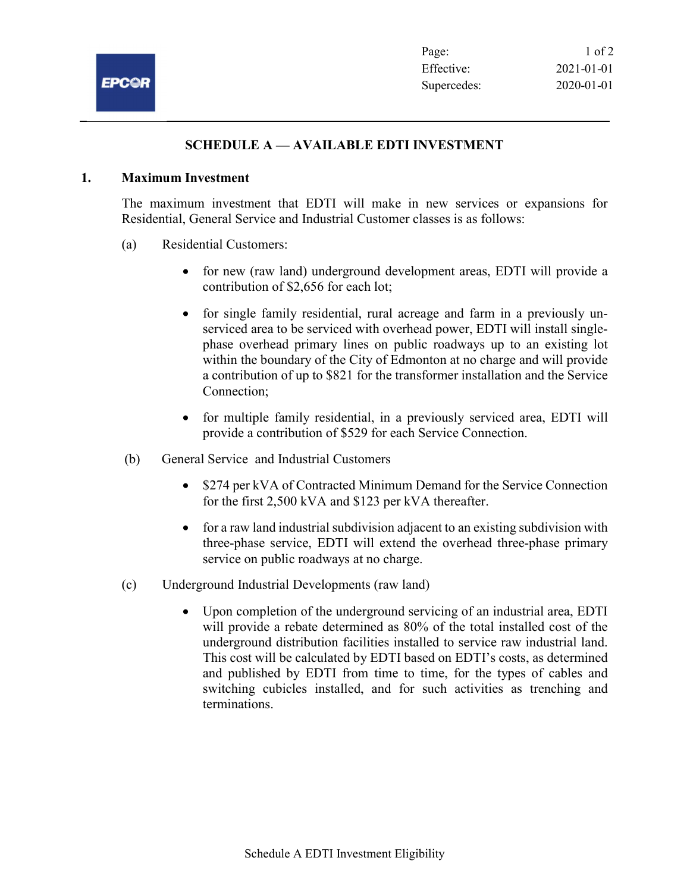## SCHEDULE A — AVAILABLE EDTI INVESTMENT

## 1. Maximum Investment

The maximum investment that EDTI will make in new services or expansions for Residential, General Service and Industrial Customer classes is as follows:

- (a) Residential Customers:
	- for new (raw land) underground development areas, EDTI will provide a contribution of \$2,656 for each lot;
	- for single family residential, rural acreage and farm in a previously unserviced area to be serviced with overhead power, EDTI will install singlephase overhead primary lines on public roadways up to an existing lot within the boundary of the City of Edmonton at no charge and will provide a contribution of up to \$821 for the transformer installation and the Service Connection;
	- for multiple family residential, in a previously serviced area, EDTI will provide a contribution of \$529 for each Service Connection.
- (b) General Service and Industrial Customers
	- \$274 per kVA of Contracted Minimum Demand for the Service Connection for the first 2,500 kVA and \$123 per kVA thereafter.
	- for a raw land industrial subdivision adjacent to an existing subdivision with three-phase service, EDTI will extend the overhead three-phase primary service on public roadways at no charge.
- (c) Underground Industrial Developments (raw land)
	- Upon completion of the underground servicing of an industrial area, EDTI will provide a rebate determined as 80% of the total installed cost of the underground distribution facilities installed to service raw industrial land. This cost will be calculated by EDTI based on EDTI's costs, as determined and published by EDTI from time to time, for the types of cables and switching cubicles installed, and for such activities as trenching and terminations.